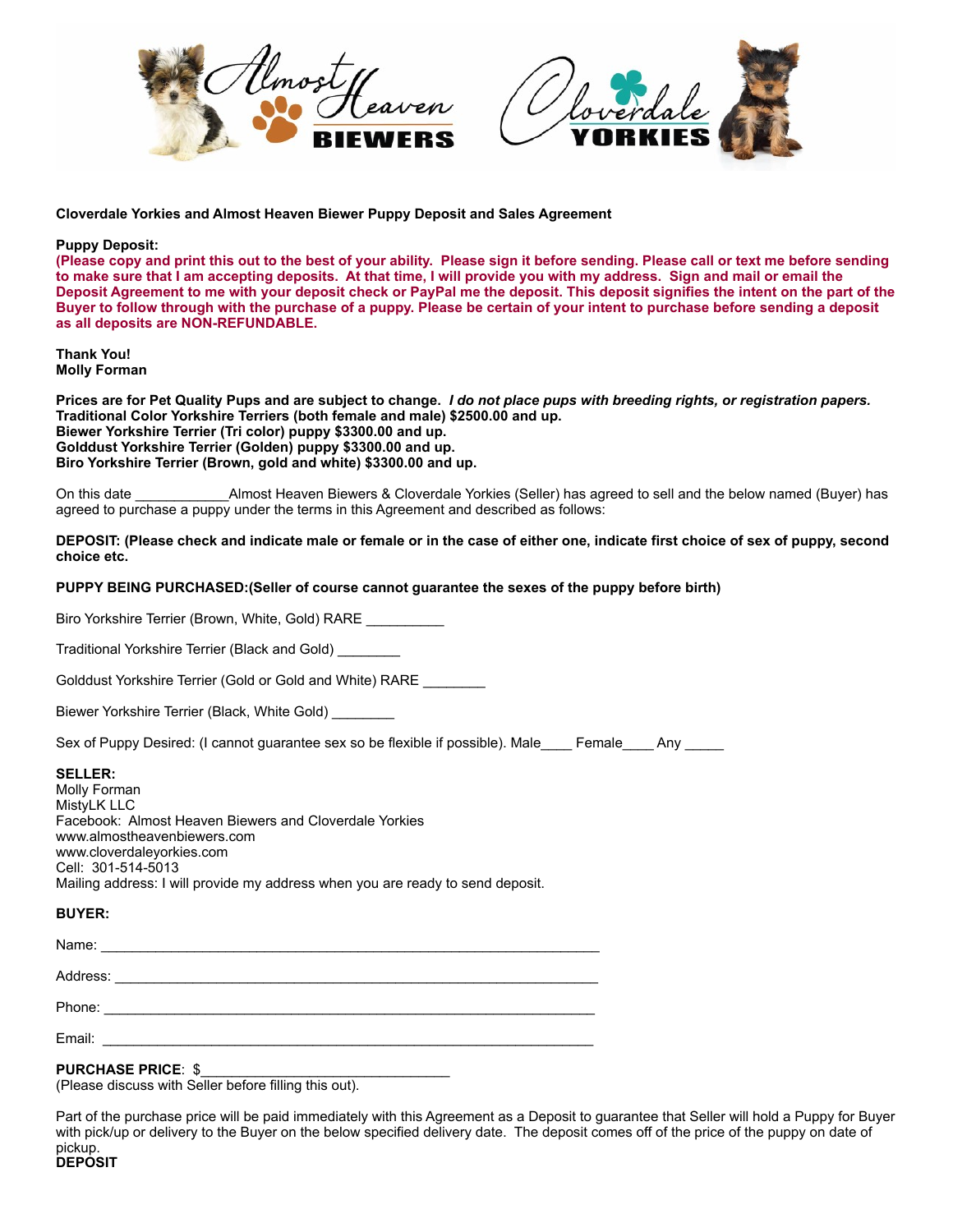



**Cloverdale Yorkies and Almost Heaven Biewer Puppy Deposit and Sales Agreement**

## **Puppy Deposit:**

**(Please copy and print this out to the best of your ability. Please sign it before sending. Please call or text me before sending to make sure that I am accepting deposits. At that time, I will provide you with my address. Sign and mail or email the Deposit Agreement to me with your deposit check or PayPal me the deposit. This deposit signifies the intent on the part of the Buyer to follow through with the purchase of a puppy. Please be certain of your intent to purchase before sending a deposit as all deposits are NON-REFUNDABLE.**

**Thank You! Molly Forman**

**Prices are for Pet Quality Pups and are subject to change.** *I do not place pups with breeding rights, or registration papers.* **Traditional Color Yorkshire Terriers (both female and male) \$2500.00 and up. Biewer Yorkshire Terrier (Tri color) puppy \$3300.00 and up. Golddust Yorkshire Terrier (Golden) puppy \$3300.00 and up. Biro Yorkshire Terrier (Brown, gold and white) \$3300.00 and up.** 

On this date \_\_\_\_\_\_\_\_\_\_\_\_Almost Heaven Biewers & Cloverdale Yorkies (Seller) has agreed to sell and the below named (Buyer) has agreed to purchase a puppy under the terms in this Agreement and described as follows:

**DEPOSIT: (Please check and indicate male or female or in the case of either one, indicate first choice of sex of puppy, second choice etc.**

### **PUPPY BEING PURCHASED:(Seller of course cannot guarantee the sexes of the puppy before birth)**

Biro Yorkshire Terrier (Brown, White, Gold) RARE

Traditional Yorkshire Terrier (Black and Gold) \_\_\_\_\_\_\_\_

Golddust Yorkshire Terrier (Gold or Gold and White) RARE \_\_\_\_\_\_\_\_

Biewer Yorkshire Terrier (Black, White Gold) \_\_\_\_\_\_\_\_

Sex of Puppy Desired: (I cannot guarantee sex so be flexible if possible). Male Female Any

#### **SELLER:**

Molly Forman MistyLK LLC Facebook: Almost Heaven Biewers and Cloverdale Yorkies www.almostheavenbiewers.com www.cloverdaleyorkies.com Cell: 301-514-5013 Mailing address: I will provide my address when you are ready to send deposit.

#### **BUYER:**

Name: \_\_\_\_\_\_\_\_\_\_\_\_\_\_\_\_\_\_\_\_\_\_\_\_\_\_\_\_\_\_\_\_\_\_\_\_\_\_\_\_\_\_\_\_\_\_\_\_\_\_\_\_\_\_\_\_\_\_\_\_\_\_\_\_

Address: \_\_\_\_\_\_\_\_\_\_\_\_\_\_\_\_\_\_\_\_\_\_\_\_\_\_\_\_\_\_\_\_\_\_\_\_\_\_\_\_\_\_\_\_\_\_\_\_\_\_\_\_\_\_\_\_\_\_\_\_\_\_

Phone: \_\_\_\_\_\_\_\_\_\_\_\_\_\_\_\_\_\_\_\_\_\_\_\_\_\_\_\_\_\_\_\_\_\_\_\_\_\_\_\_\_\_\_\_\_\_\_\_\_\_\_\_\_\_\_\_\_\_\_\_\_\_\_

Email: \_\_\_\_\_\_\_\_\_\_\_\_\_\_\_\_\_\_\_\_\_\_\_\_\_\_\_\_\_\_\_\_\_\_\_\_\_\_\_\_\_\_\_\_\_\_\_\_\_\_\_\_\_\_\_\_\_\_\_\_\_\_\_

# **PURCHASE PRICE: \$**

(Please discuss with Seller before filling this out).

Part of the purchase price will be paid immediately with this Agreement as a Deposit to guarantee that Seller will hold a Puppy for Buyer with pick/up or delivery to the Buyer on the below specified delivery date. The deposit comes off of the price of the puppy on date of pickup.